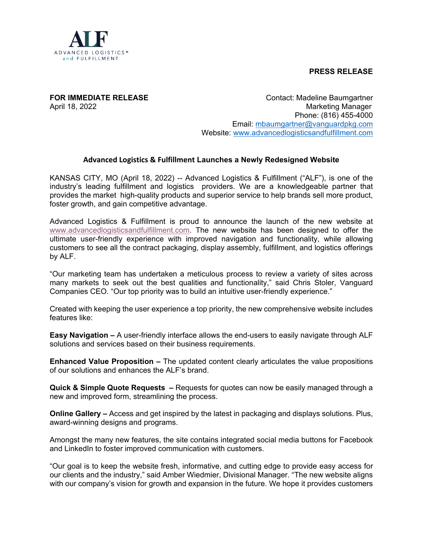

**PRESS RELEASE**

**FOR IMMEDIATE RELEASE CONTACT ACCOUNTS** Contact: Madeline Baumgartner April 18, 2022 **Marketing Manager**  Phone: (816) 455-4000 Email: [mbaumgartner@vanguardpkg.com](mailto:mbaumgartner@vanguardpkg.com) Website: [www.advancedlogisticsandfulfillment.com](http://www.advancedlogisticsandfulfillment.com/)

## **Advanced Logistics & Fulfillment Launches a Newly Redesigned Website**

KANSAS CITY, MO (April 18, 2022) -- Advanced Logistics & Fulfillment ("ALF"), is one of the industry's leading fulfillment and logistics providers. We are a knowledgeable partner that provides the market high-quality products and superior service to help brands sell more product, foster growth, and gain competitive advantage.

Advanced Logistics & Fulfillment is proud to announce the launch of the new website at [www.advancedlogisticsandfulfillment.com.](http://www.advancedlogisticsandfulfillment.com/) The new website has been designed to offer the ultimate user-friendly experience with improved navigation and functionality, while allowing customers to see all the contract packaging, display assembly, fulfillment, and logistics offerings by ALF.

"Our marketing team has undertaken a meticulous process to review a variety of sites across many markets to seek out the best qualities and functionality," said Chris Stoler, Vanguard Companies CEO. "Our top priority was to build an intuitive user-friendly experience."

Created with keeping the user experience a top priority, the new comprehensive website includes features like:

**Easy Navigation –** A user-friendly interface allows the end-users to easily navigate through ALF solutions and services based on their business requirements.

**Enhanced Value Proposition –** The updated content clearly articulates the value propositions of our solutions and enhances the ALF's brand.

**Quick & Simple Quote Requests –** Requests for quotes can now be easily managed through a new and improved form, streamlining the process.

**Online Gallery –** Access and get inspired by the latest in packaging and displays solutions. Plus, award-winning designs and programs.

Amongst the many new features, the site contains integrated social media buttons for Facebook and LinkedIn to foster improved communication with customers.

"Our goal is to keep the website fresh, informative, and cutting edge to provide easy access for our clients and the industry," said Amber Wiedmier, Divisional Manager. "The new website aligns with our company's vision for growth and expansion in the future. We hope it provides customers